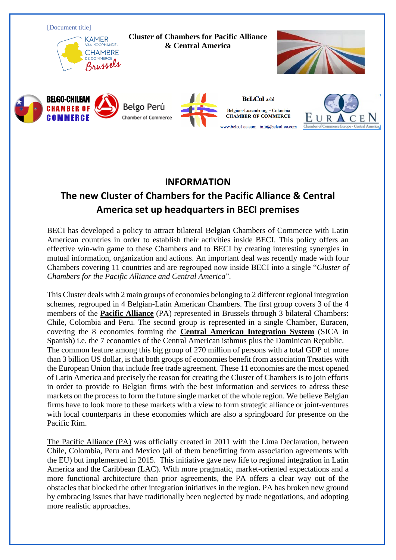

## **INFORMATION**

## **The new Cluster of Chambers for the Pacific Alliance & Central America set up headquarters in BECI premises**

BECI has developed a policy to attract bilateral Belgian Chambers of Commerce with Latin American countries in order to establish their activities inside BECI. This policy offers an effective win-win game to these Chambers and to BECI by creating interesting synergies in mutual information, organization and actions. An important deal was recently made with four Chambers covering 11 countries and are regrouped now inside BECI into a single "*Cluster of Chambers for the Pacific Alliance and Central America*".

This Cluster deals with 2 main groups of economies belonging to 2 different regional integration schemes, regrouped in 4 Belgian-Latin American Chambers. The first group covers 3 of the 4 members of the **Pacific Alliance** (PA) represented in Brussels through 3 bilateral Chambers: Chile, Colombia and Peru. The second group is represented in a single Chamber, Euracen, covering the 8 economies forming the **Central American Integration System** (SICA in Spanish) i.e. the 7 economies of the Central American isthmus plus the Dominican Republic. The common feature among this big group of 270 million of persons with a total GDP of more than 3 billion US dollar, is that both groups of economies benefit from association Treaties with the European Union that include free trade agreement. These 11 economies are the most opened of Latin America and precisely the reason for creating the Cluster of Chambers is to join efforts in order to provide to Belgian firms with the best information and services to adress these markets on the process to form the future single market of the whole region. We believe Belgian firms have to look more to these markets with a view to form strategic alliance or joint-ventures with local counterparts in these economies which are also a springboard for presence on the Pacific Rim.

The Pacific Alliance (PA) was officially created in 2011 with the Lima Declaration, between Chile, Colombia, Peru and Mexico (all of them benefitting from association agreements with the EU) but implemented in 2015. This initiative gave new life to regional integration in Latin America and the Caribbean (LAC). With more pragmatic, market-oriented expectations and a more functional architecture than prior agreements, the PA offers a clear way out of the obstacles that blocked the other integration initiatives in the region. PA has broken new ground by embracing issues that have traditionally been neglected by trade negotiations, and adopting more realistic approaches.